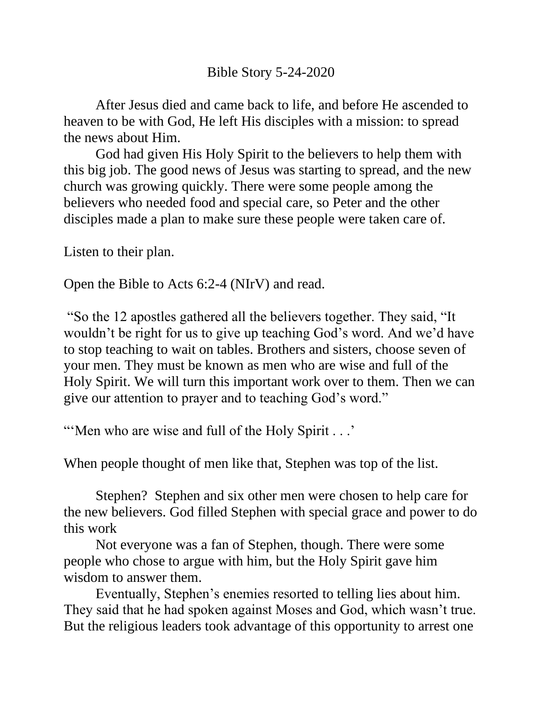After Jesus died and came back to life, and before He ascended to heaven to be with God, He left His disciples with a mission: to spread the news about Him.

God had given His Holy Spirit to the believers to help them with this big job. The good news of Jesus was starting to spread, and the new church was growing quickly. There were some people among the believers who needed food and special care, so Peter and the other disciples made a plan to make sure these people were taken care of.

Listen to their plan.

Open the Bible to Acts 6:2-4 (NIrV) and read.

"So the 12 apostles gathered all the believers together. They said, "It wouldn't be right for us to give up teaching God's word. And we'd have to stop teaching to wait on tables. Brothers and sisters, choose seven of your men. They must be known as men who are wise and full of the Holy Spirit. We will turn this important work over to them. Then we can give our attention to prayer and to teaching God's word."

"... When who are wise and full of the Holy Spirit ..."

When people thought of men like that, Stephen was top of the list.

Stephen? Stephen and six other men were chosen to help care for the new believers. God filled Stephen with special grace and power to do this work

Not everyone was a fan of Stephen, though. There were some people who chose to argue with him, but the Holy Spirit gave him wisdom to answer them.

Eventually, Stephen's enemies resorted to telling lies about him. They said that he had spoken against Moses and God, which wasn't true. But the religious leaders took advantage of this opportunity to arrest one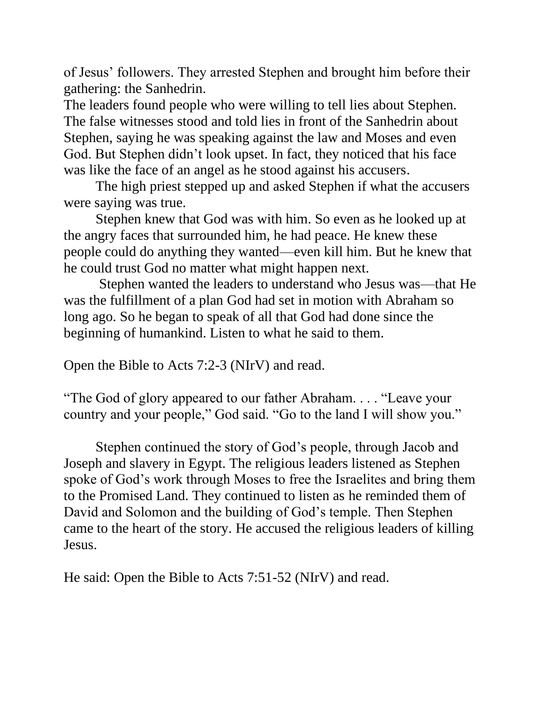of Jesus' followers. They arrested Stephen and brought him before their gathering: the Sanhedrin.

The leaders found people who were willing to tell lies about Stephen. The false witnesses stood and told lies in front of the Sanhedrin about Stephen, saying he was speaking against the law and Moses and even God. But Stephen didn't look upset. In fact, they noticed that his face was like the face of an angel as he stood against his accusers.

The high priest stepped up and asked Stephen if what the accusers were saying was true.

Stephen knew that God was with him. So even as he looked up at the angry faces that surrounded him, he had peace. He knew these people could do anything they wanted—even kill him. But he knew that he could trust God no matter what might happen next.

Stephen wanted the leaders to understand who Jesus was—that He was the fulfillment of a plan God had set in motion with Abraham so long ago. So he began to speak of all that God had done since the beginning of humankind. Listen to what he said to them.

Open the Bible to Acts 7:2-3 (NIrV) and read.

"The God of glory appeared to our father Abraham. . . . "Leave your country and your people," God said. "Go to the land I will show you."

Stephen continued the story of God's people, through Jacob and Joseph and slavery in Egypt. The religious leaders listened as Stephen spoke of God's work through Moses to free the Israelites and bring them to the Promised Land. They continued to listen as he reminded them of David and Solomon and the building of God's temple. Then Stephen came to the heart of the story. He accused the religious leaders of killing Jesus.

He said: Open the Bible to Acts 7:51-52 (NIrV) and read.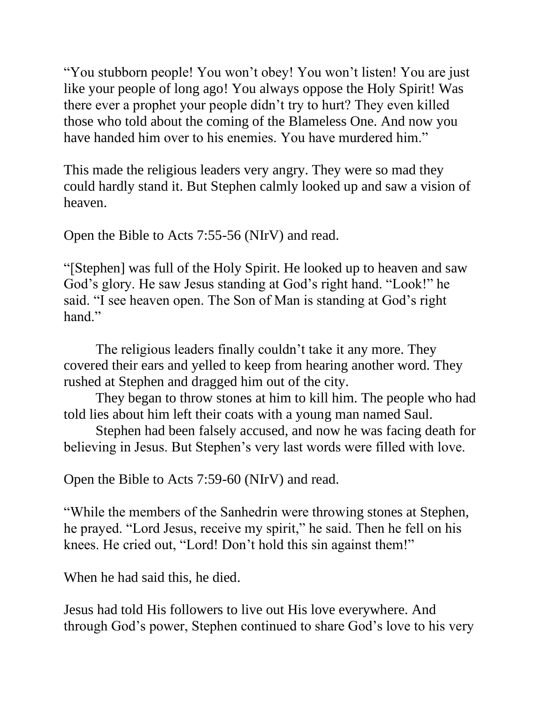"You stubborn people! You won't obey! You won't listen! You are just like your people of long ago! You always oppose the Holy Spirit! Was there ever a prophet your people didn't try to hurt? They even killed those who told about the coming of the Blameless One. And now you have handed him over to his enemies. You have murdered him."

This made the religious leaders very angry. They were so mad they could hardly stand it. But Stephen calmly looked up and saw a vision of heaven.

Open the Bible to Acts 7:55-56 (NIrV) and read.

"[Stephen] was full of the Holy Spirit. He looked up to heaven and saw God's glory. He saw Jesus standing at God's right hand. "Look!" he said. "I see heaven open. The Son of Man is standing at God's right hand."

The religious leaders finally couldn't take it any more. They covered their ears and yelled to keep from hearing another word. They rushed at Stephen and dragged him out of the city.

They began to throw stones at him to kill him. The people who had told lies about him left their coats with a young man named Saul.

Stephen had been falsely accused, and now he was facing death for believing in Jesus. But Stephen's very last words were filled with love.

Open the Bible to Acts 7:59-60 (NIrV) and read.

"While the members of the Sanhedrin were throwing stones at Stephen, he prayed. "Lord Jesus, receive my spirit," he said. Then he fell on his knees. He cried out, "Lord! Don't hold this sin against them!"

When he had said this, he died.

Jesus had told His followers to live out His love everywhere. And through God's power, Stephen continued to share God's love to his very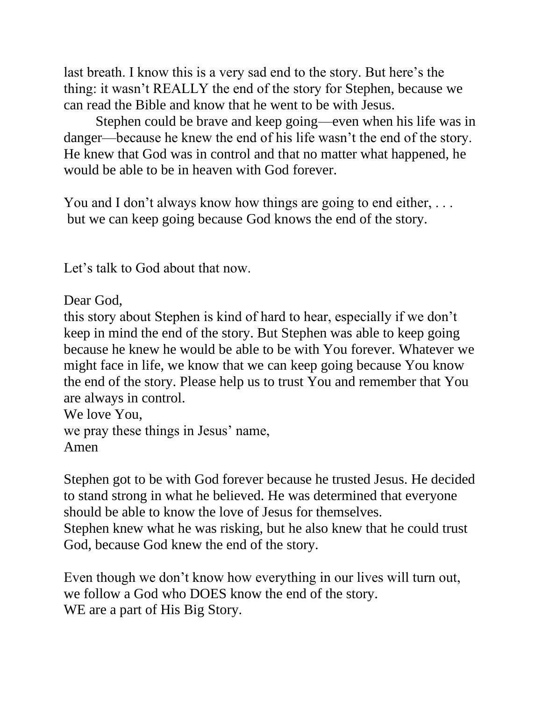last breath. I know this is a very sad end to the story. But here's the thing: it wasn't REALLY the end of the story for Stephen, because we can read the Bible and know that he went to be with Jesus.

Stephen could be brave and keep going—even when his life was in danger—because he knew the end of his life wasn't the end of the story. He knew that God was in control and that no matter what happened, he would be able to be in heaven with God forever.

You and I don't always know how things are going to end either, ... but we can keep going because God knows the end of the story.

Let's talk to God about that now.

Dear God,

this story about Stephen is kind of hard to hear, especially if we don't keep in mind the end of the story. But Stephen was able to keep going because he knew he would be able to be with You forever. Whatever we might face in life, we know that we can keep going because You know the end of the story. Please help us to trust You and remember that You are always in control.

```
We love You, 
we pray these things in Jesus' name, 
Amen
```
Stephen got to be with God forever because he trusted Jesus. He decided to stand strong in what he believed. He was determined that everyone should be able to know the love of Jesus for themselves. Stephen knew what he was risking, but he also knew that he could trust God, because God knew the end of the story.

Even though we don't know how everything in our lives will turn out, we follow a God who DOES know the end of the story. WE are a part of His Big Story.